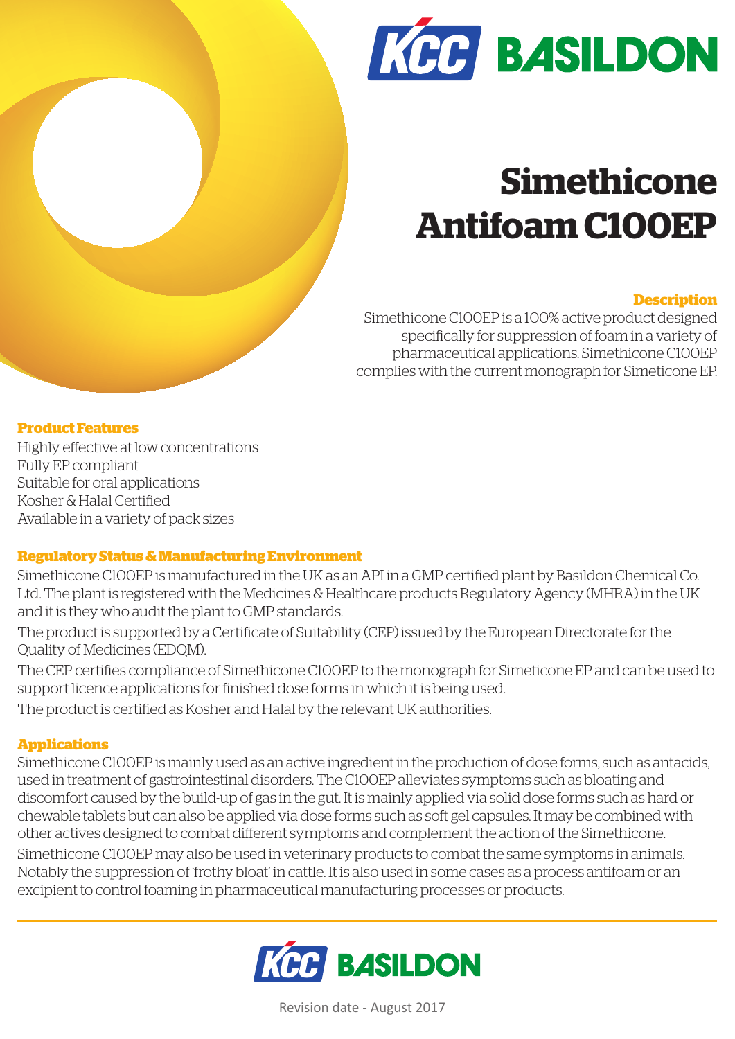

# **Simethicone Antifoam C100EP**

# **Description**

Simethicone C100EP is a 100% active product designed specifically for suppression of foam in a variety of pharmaceutical applications. Simethicone C100EP complies with the current monograph for Simeticone EP.

## **Product Features**

Highly effective at low concentrations Fully EP compliant Suitable for oral applications Kosher & Halal Certified Available in a variety of pack sizes

# **Regulatory Status & Manufacturing Environment**

Simethicone C100EP is manufactured in the UK as an API in a GMP certified plant by Basildon Chemical Co. Ltd. The plant is registered with the Medicines & Healthcare products Regulatory Agency (MHRA) in the UK and it is they who audit the plant to GMP standards.

The product is supported by a Certificate of Suitability (CEP) issued by the European Directorate for the Quality of Medicines (EDQM).

The CEP certifies compliance of Simethicone C100EP to the monograph for Simeticone EP and can be used to support licence applications for finished dose forms in which it is being used.

The product is certified as Kosher and Halal by the relevant UK authorities.

# **Applications**

Simethicone C100EP is mainly used as an active ingredient in the production of dose forms, such as antacids, used in treatment of gastrointestinal disorders. The C100EP alleviates symptoms such as bloating and discomfort caused by the build-up of gas in the gut. It is mainly applied via solid dose forms such as hard or chewable tablets but can also be applied via dose forms such as soft gel capsules. It may be combined with other actives designed to combat different symptoms and complement the action of the Simethicone.

Simethicone C100EP may also be used in veterinary products to combat the same symptoms in animals. Notably the suppression of 'frothy bloat' in cattle. It is also used in some cases as a process antifoam or an excipient to control foaming in pharmaceutical manufacturing processes or products.